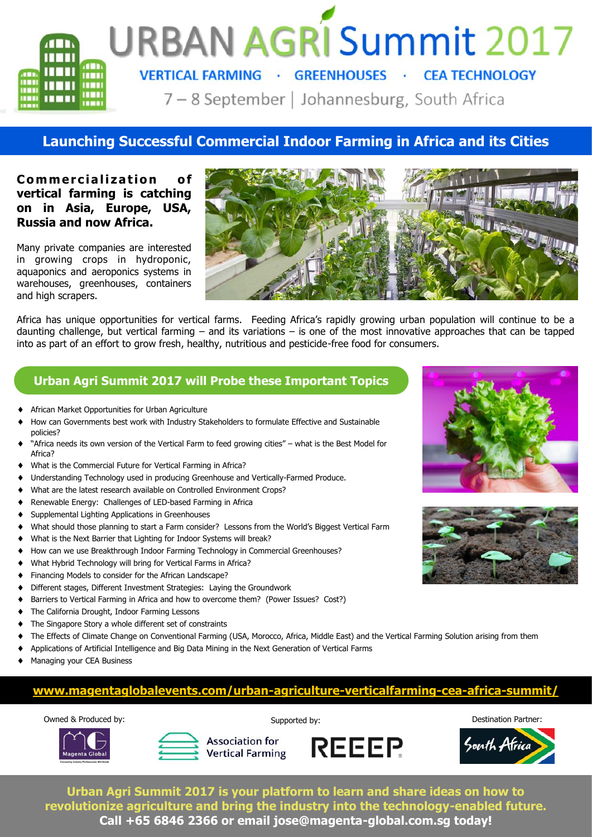#### **URBAN AGRI Summit 2017 ALL** mm in in <mark>An</mark> VERTICAL FARMING · GREENHOUSES · CEA TECHNOLOGY **HERL HER**

## 7 - 8 September | Johannesburg, South Africa

## **Launching Successful Commercial Indoor Farming in Africa and its Cities**

### **Commercialization** of **vertical farming is catching on in Asia, Europe, USA, Russia and now Africa.**

**TELET** 

Many private companies are interested in growing crops in hydroponic, aquaponics and aeroponics systems in warehouses, greenhouses, containers and high scrapers.



Africa has unique opportunities for vertical farms. Feeding Africa's rapidly growing urban population will continue to be a daunting challenge, but vertical farming – and its variations – is one of the most innovative approaches that can be tapped into as part of an effort to grow fresh, healthy, nutritious and pesticide-free food for consumers.

## **Urban Agri Summit 2017 will Probe these Important Topics**

- African Market Opportunities for Urban Agriculture
- How can Governments best work with Industry Stakeholders to formulate Effective and Sustainable policies?
- "Africa needs its own version of the Vertical Farm to feed growing cities" what is the Best Model for Africa?
- What is the Commercial Future for Vertical Farming in Africa?
- Understanding Technology used in producing Greenhouse and Vertically-Farmed Produce.
- What are the latest research available on Controlled Environment Crops?
- Renewable Energy: Challenges of LED-based Farming in Africa
- Supplemental Lighting Applications in Greenhouses
- What should those planning to start a Farm consider? Lessons from the World's Biggest Vertical Farm
- What is the Next Barrier that Lighting for Indoor Systems will break?
- How can we use Breakthrough Indoor Farming Technology in Commercial Greenhouses?
- What Hybrid Technology will bring for Vertical Farms in Africa?
- Financing Models to consider for the African Landscape?
- Different stages, Different Investment Strategies: Laying the Groundwork
- Barriers to Vertical Farming in Africa and how to overcome them? (Power Issues? Cost?)
- The California Drought, Indoor Farming Lessons
- The Singapore Story a whole different set of constraints
- The Effects of Climate Change on Conventional Farming (USA, Morocco, Africa, Middle East) and the Vertical Farming Solution arising from them
- Applications of Artificial Intelligence and Big Data Mining in the Next Generation of Vertical Farms
- Managing your CEA Business

## **[www.magentaglobalevents.com/urban-agriculture-verticalfarming-cea-africa-summit/](http://www.magentaglobalevents.com/urban-agriculture-verticalfarming-cea-africa-summit/)**

#### Owned & Produced by:



Supported by: Destination Partner:









**Urban Agri Summit 2017 is your platform to learn and share ideas on how to revolutionize agriculture and bring the industry into the technology-enabled future. Call +65 6846 2366 or email jose@magenta-global.com.sg today!**



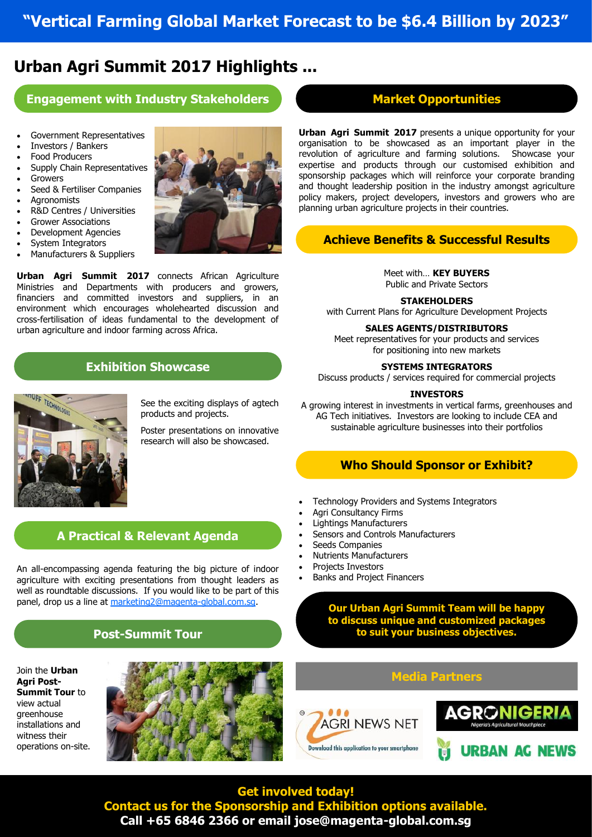## **Urban Agri Summit 2017 Highlights ...**

#### **Engagement with Industry Stakeholders Market Opportunities**

- Government Representatives
- Investors / Bankers
- Food Producers
- Supply Chain Representatives
- Growers
- Seed & Fertiliser Companies
- Agronomists
- R&D Centres / Universities
- Grower Associations
- Development Agencies
- System Integrators
- Manufacturers & Suppliers

**Urban Agri Summit 2017** connects African Agriculture Ministries and Departments with producers and growers, financiers and committed investors and suppliers, in an environment which encourages wholehearted discussion and cross-fertilisation of ideas fundamental to the development of urban agriculture and indoor farming across Africa.

#### **Exhibition Showcase**



See the exciting displays of agtech products and projects.

Poster presentations on innovative research will also be showcased.

### **A Practical & Relevant Agenda**

An all-encompassing agenda featuring the big picture of indoor agriculture with exciting presentations from thought leaders as well as roundtable discussions. If you would like to be part of this panel, drop us a line at [marketing2@magenta-global.com.sg.](mailto:marketing2@magenta-global.com.sg)

#### **Post-Summit Tour**

Join the **Urban Agri Post-Summit Tour** to view actual greenhouse installations and witness their operations on-site.





**Urban Agri Summit 2017** presents a unique opportunity for your organisation to be showcased as an important player in the revolution of agriculture and farming solutions. Showcase your expertise and products through our customised exhibition and sponsorship packages which will reinforce your corporate branding and thought leadership position in the industry amongst agriculture policy makers, project developers, investors and growers who are planning urban agriculture projects in their countries.

#### **Achieve Benefits & Successful Results**

Meet with… **KEY BUYERS** Public and Private Sectors

**STAKEHOLDERS**

with Current Plans for Agriculture Development Projects

#### **SALES AGENTS/DISTRIBUTORS**

Meet representatives for your products and services for positioning into new markets

#### **SYSTEMS INTEGRATORS**

Discuss products / services required for commercial projects

#### **INVESTORS**

A growing interest in investments in vertical farms, greenhouses and AG Tech initiatives. Investors are looking to include CEA and sustainable agriculture businesses into their portfolios

#### **Who Should Sponsor or Exhibit?**

- Technology Providers and Systems Integrators
- Agri Consultancy Firms
- Lightings Manufacturers
	- Sensors and Controls Manufacturers
	- Seeds Companies
	- Nutrients Manufacturers
	- Projects Investors
	- Banks and Project Financers

**Our Urban Agri Summit Team will be happy to discuss unique and customized packages to suit your business objectives.**

## **Media Partners**





**Get involved today! Contact us for the Sponsorship and Exhibition options available. Call +65 6846 2366 or email jose@magenta-global.com.sg**